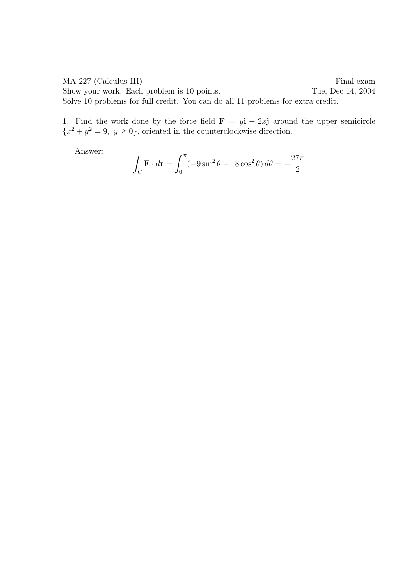MA 227 (Calculus-III) Final exam Show your work. Each problem is 10 points. Tue, Dec 14, 2004 Solve 10 problems for full credit. You can do all 11 problems for extra credit.

1. Find the work done by the force field  $\mathbf{F} = y\mathbf{i} - 2x\mathbf{j}$  around the upper semicircle  ${x^2 + y^2 = 9, y \ge 0}$ , oriented in the counterclockwise direction.

$$
\int_C \mathbf{F} \cdot d\mathbf{r} = \int_0^{\pi} (-9\sin^2 \theta - 18\cos^2 \theta) d\theta = -\frac{27\pi}{2}
$$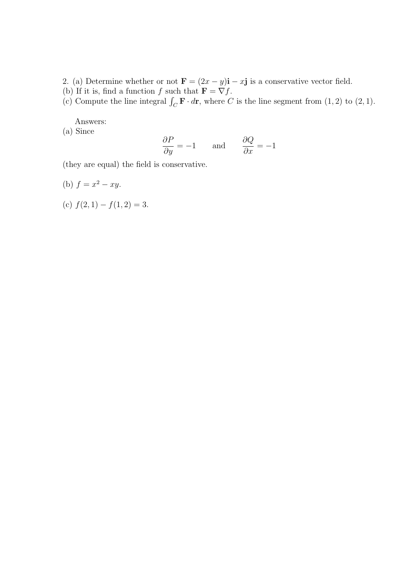2. (a) Determine whether or not  $\mathbf{F} = (2x - y)\mathbf{i} - x\mathbf{j}$  is a conservative vector field.

(b) If it is, find a function f such that  $\mathbf{F} = \nabla f$ .

(c) Compute the line integral  $\int_C \mathbf{F} \cdot d\mathbf{r}$ , where C is the line segment from  $(1, 2)$  to  $(2, 1)$ .

Answers:

(a) Since

$$
\frac{\partial P}{\partial y} = -1 \quad \text{and} \quad \frac{\partial Q}{\partial x} = -1
$$

(they are equal) the field is conservative.

- (b)  $f = x^2 xy$ .
- (c)  $f(2, 1) f(1, 2) = 3.$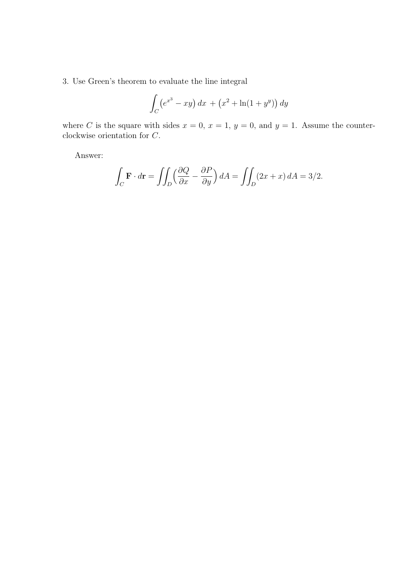3. Use Green's theorem to evaluate the line integral

$$
\int_C (e^{x^3} - xy) \, dx + (x^2 + \ln(1 + y^y)) \, dy
$$

where C is the square with sides  $x = 0$ ,  $x = 1$ ,  $y = 0$ , and  $y = 1$ . Assume the counterclockwise orientation for C.

$$
\int_C \mathbf{F} \cdot d\mathbf{r} = \iint_D \left(\frac{\partial Q}{\partial x} - \frac{\partial P}{\partial y}\right) dA = \iint_D (2x + x) dA = 3/2.
$$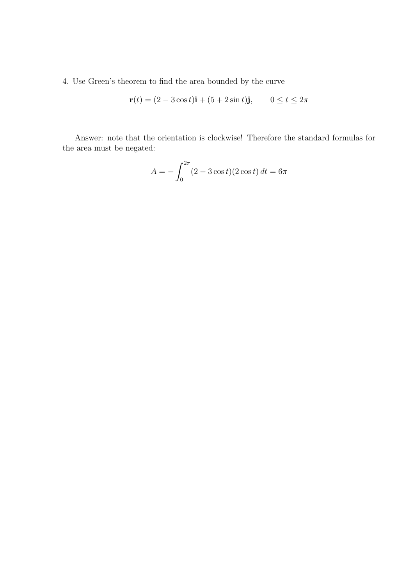4. Use Green's theorem to find the area bounded by the curve

$$
\mathbf{r}(t) = (2 - 3\cos t)\mathbf{i} + (5 + 2\sin t)\mathbf{j}, \qquad 0 \le t \le 2\pi
$$

Answer: note that the orientation is clockwise! Therefore the standard formulas for the area must be negated:

$$
A = -\int_0^{2\pi} (2 - 3\cos t)(2\cos t) dt = 6\pi
$$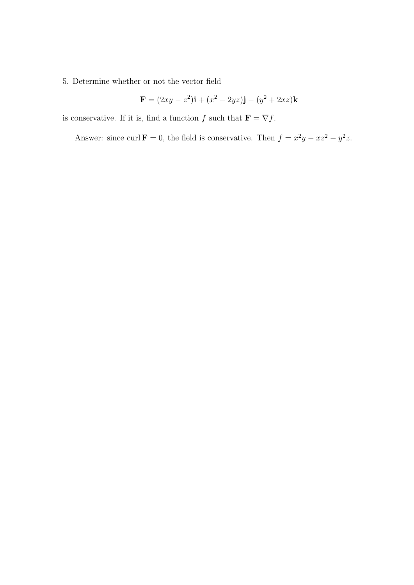## 5. Determine whether or not the vector field

$$
\mathbf{F} = (2xy - z^2)\mathbf{i} + (x^2 - 2yz)\mathbf{j} - (y^2 + 2xz)\mathbf{k}
$$

is conservative. If it is, find a function  $f$  such that  $\mathbf{F} = \nabla f$ .

Answer: since curl  $\mathbf{F} = 0$ , the field is conservative. Then  $f = x^2y - xz^2 - y^2z$ .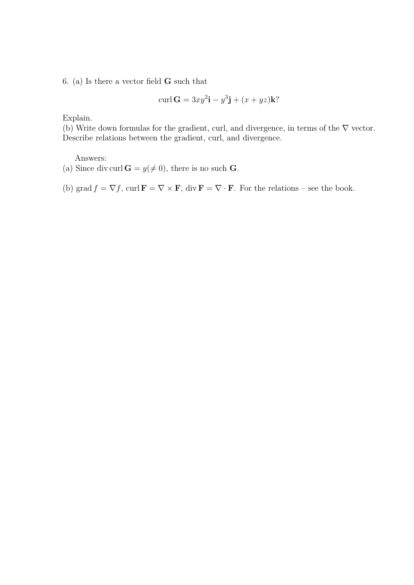6. (a) Is there a vector field  $\bf{G}$  such that

$$
\operatorname{curl} \mathbf{G} = 3xy^2 \mathbf{i} - y^3 \mathbf{j} + (x + yz) \mathbf{k}
$$
?

Explain.

(b) Write down formulas for the gradient, curl, and divergence, in terms of the  $\nabla$  vector. Describe relations between the gradient, curl, and divergence.

Answers:

(a) Since div curl  $G = y (\neq 0)$ , there is no such G.

(b) grad  $f = \nabla f$ , curl  $\mathbf{F} = \nabla \times \mathbf{F}$ , div  $\mathbf{F} = \nabla \cdot \mathbf{F}$ . For the relations – see the book.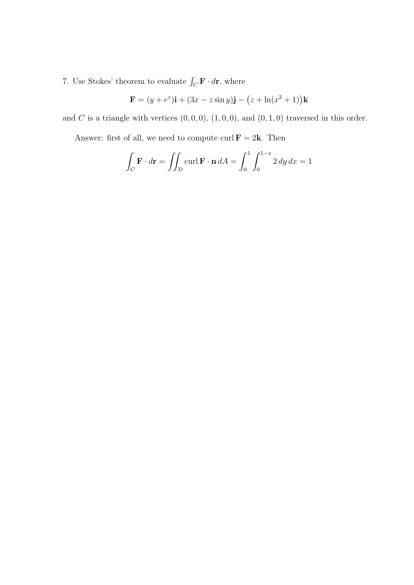7. Use Stokes' theorem to evaluate  $\int_C \mathbf{F} \cdot d\mathbf{r}$ , where

$$
\mathbf{F} = (y + e^z)\mathbf{i} + (3x - z\sin y)\mathbf{j} - (z + \ln(x^2 + 1))\mathbf{k}
$$

and C is a triangle with vertices  $(0, 0, 0)$ ,  $(1, 0, 0)$ , and  $(0, 1, 0)$  traversed in this order.

Answer: first of all, we need to compute curl  $\mathbf{F} = 2\mathbf{k}$ . Then

$$
\int_C \mathbf{F} \cdot d\mathbf{r} = \iint_D \operatorname{curl} \mathbf{F} \cdot \mathbf{n} \, dA = \int_0^1 \int_0^{1-x} 2 \, dy \, dx = 1
$$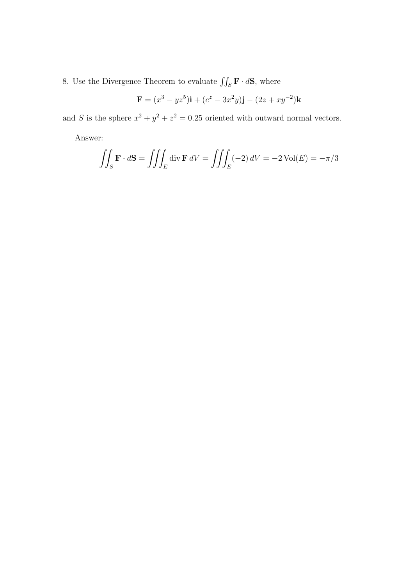8. Use the Divergence Theorem to evaluate  $\iint_S \mathbf{F} \cdot d\mathbf{S}$ , where

$$
\mathbf{F} = (x^3 - yz^5)\mathbf{i} + (e^z - 3x^2y)\mathbf{j} - (2z + xy^{-2})\mathbf{k}
$$

and S is the sphere  $x^2 + y^2 + z^2 = 0.25$  oriented with outward normal vectors.

$$
\iiint_S \mathbf{F} \cdot d\mathbf{S} = \iiint_E \text{div } \mathbf{F} \, dV = \iiint_E (-2) \, dV = -2 \text{ Vol}(E) = -\pi/3
$$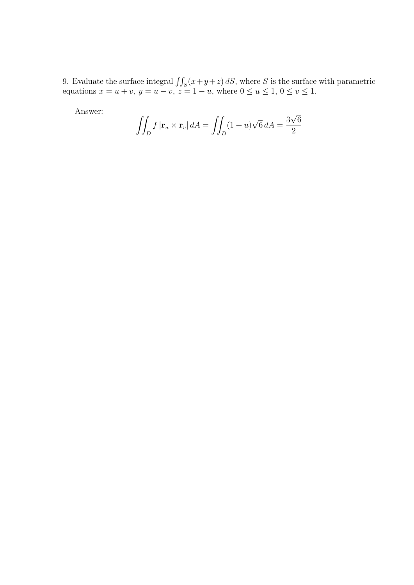9. Evaluate the surface integral  $\iint_S (x+y+z) dS$ , where S is the surface with parametric equations  $x = u + v$ ,  $y = u - v$ ,  $z = 1 - u$ , where  $0 \le u \le 1$ ,  $0 \le v \le 1$ .

$$
\iint_D f|\mathbf{r}_u \times \mathbf{r}_v| dA = \iint_D (1+u)\sqrt{6} dA = \frac{3\sqrt{6}}{2}
$$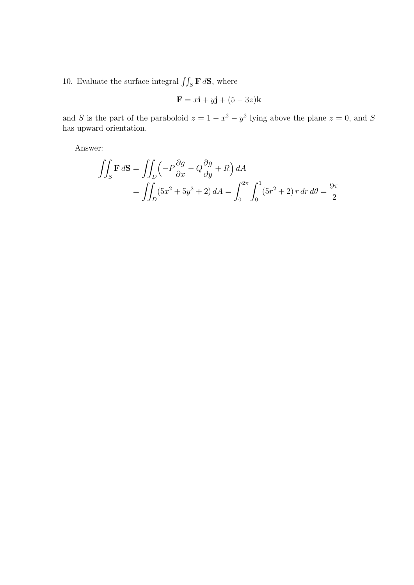10. Evaluate the surface integral  $\iint_S \mathbf{F} d\mathbf{S}$ , where

$$
\mathbf{F} = x\mathbf{i} + y\mathbf{j} + (5 - 3z)\mathbf{k}
$$

and S is the part of the paraboloid  $z = 1 - x^2 - y^2$  lying above the plane  $z = 0$ , and S has upward orientation.

$$
\iint_{S} \mathbf{F} d\mathbf{S} = \iint_{D} \left( -P \frac{\partial g}{\partial x} - Q \frac{\partial g}{\partial y} + R \right) dA
$$
  
= 
$$
\iint_{D} (5x^2 + 5y^2 + 2) dA = \int_{0}^{2\pi} \int_{0}^{1} (5r^2 + 2) r dr d\theta = \frac{9\pi}{2}
$$